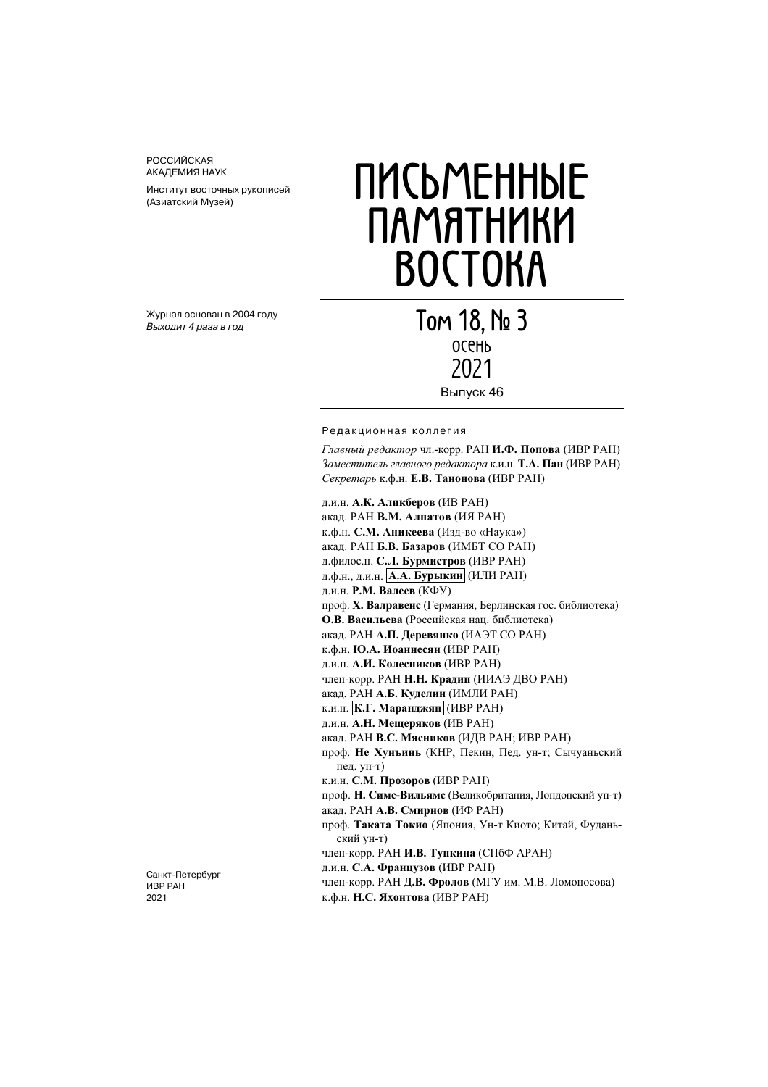РОССИЙСКАЯ АКАДЕМИЯ НАУК

Институт восточных рукописей (Азиатский Музей)

#### Журнал основан в 2004 году Выходит 4 раза в год

# **ПИСЬМЕННЫЕ ПАМЯТНИКИ ВОСТОКА**

**Том 18, № 3** осень 2021 Выпуск 46

#### Редакционная коллегия

Главный редактор чл.-корр. РАН И.Ф. Попова (ИВР РАН) Заместитель главного редактора к.и.н. Т.А. Пан (ИВР РАН) Секретарь к.ф.н. Е.В. Танонова (ИВР РАН)

д.и.н. А.К. Аликберов (ИВ РАН) акад. РАН В.М. Алпатов (ИЯ РАН) к.ф.н. С.М. Аникеева (Изд-во «Наука») акад. РАН Б.В. Базаров (ИМБТ СО РАН) д.филос.н. С.Л. Бурмистров (ИВР РАН) д.ф.н., д.и.н. | А.А. Бурыкин (ИЛИ РАН) д.и.н. Р.М. Валеев (КФУ) проф. Х. Валравенс (Германия, Берлинская гос. библиотека) О.В. Васильева (Российская нац. библиотека) акад. РАН А.П. Деревянко (ИАЭТ СО РАН) к.ф.н. Ю.А. Иоаннесян (ИВР РАН) д.и.н. А.И. Колесников (ИВР РАН) член-корр. РАН Н.Н. Крадин (ИИАЭ ДВО РАН) акад. РАН А.Б. Куделин (ИМЛИ РАН) к.и.н. К.Г. Маранджян (ИВР РАН) д.и.н. А.Н. Мещеряков (ИВ РАН) акад. РАН В.С. Мясников (ИДВ РАН; ИВР РАН) проф. Не Хунъинь (КНР, Пекин, Пед. ун-т; Сычуаньский пед. ун-т) к.и.н. С.М. Прозоров (ИВР РАН) проф. Н. Симс-Вильямс (Великобритания, Лондонский ун-т) акад. РАН А.В. Смирнов (ИФ РАН) проф. Таката Токио (Япония, Ун-т Киото; Китай, Фуданьский ун-т) член-корр. РАН И.В. Тункина (СПбФ АРАН) д.и.н. С.А. Французов (ИВР РАН) член-корр. РАН Д.В. Фролов (МГУ им. М.В. Ломоносова) к.ф.н. Н.С. Яхонтова (ИВР РАН)

Санкт-Петербург ИВР РАН 2021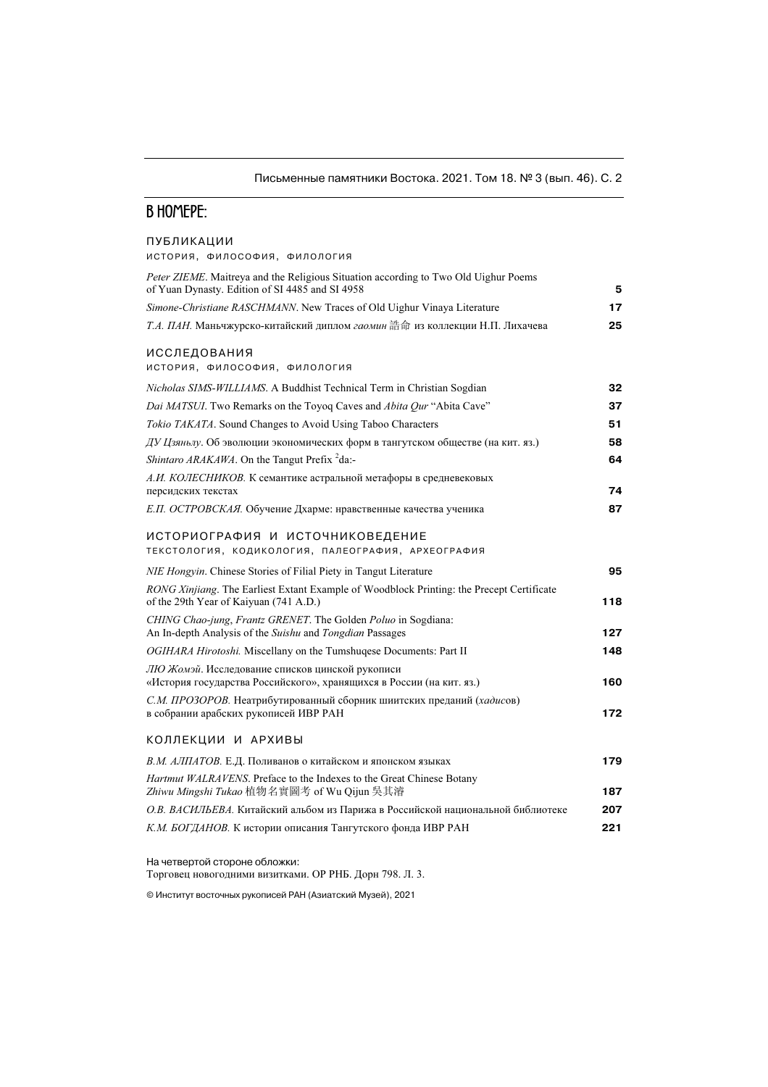## Письменные памятники Востока. 2021. Том 18. № 3 (вып. 46). С. 2

# **В НОМЕРЕ:**

#### ПУБЛИКАЦИИ

ИСТОРИЯ, ФИЛОСОФИЯ, ФИЛОЛОГИЯ

| Peter ZIEME. Maitreya and the Religious Situation according to Two Old Uighur Poems<br>of Yuan Dynasty. Edition of SI 4485 and SI 4958 | 5   |
|----------------------------------------------------------------------------------------------------------------------------------------|-----|
| Simone-Christiane RASCHMANN. New Traces of Old Uighur Vinaya Literature                                                                | 17  |
| Т.А. ПАН. Маньчжурско-китайский диплом гаомин 誥命 из коллекции Н.П. Лихачева                                                            | 25  |
| ИССЛЕДОВАНИЯ<br>ИСТОРИЯ, ФИЛОСОФИЯ, ФИЛОЛОГИЯ                                                                                          |     |
| Nicholas SIMS-WILLIAMS. A Buddhist Technical Term in Christian Sogdian                                                                 | 32  |
| Dai MATSUI. Two Remarks on the Toyoq Caves and Abita Qur "Abita Cave"                                                                  | 37  |
| Tokio TAKATA. Sound Changes to Avoid Using Taboo Characters                                                                            | 51  |
| ДУ Цзяньлу. Об эволюции экономических форм в тангутском обществе (на кит. яз.)                                                         | 58  |
| Shintaro ARAKAWA. On the Tangut Prefix <sup>2</sup> da:-                                                                               | 64  |
| А.И. КОЛЕСНИКОВ. К семантике астральной метафоры в средневековых<br>персидских текстах                                                 | 74  |
| Е.П. ОСТРОВСКАЯ. Обучение Дхарме: нравственные качества ученика                                                                        | 87  |
| ИСТОРИОГРАФИЯ И ИСТОЧНИКОВЕДЕНИЕ<br>ТЕКСТОЛОГИЯ, КОДИКОЛОГИЯ, ПАЛЕОГРАФИЯ, АРХЕОГРАФИЯ                                                 |     |
| NIE Hongyin. Chinese Stories of Filial Piety in Tangut Literature                                                                      | 95  |
| RONG Xinjiang. The Earliest Extant Example of Woodblock Printing: the Precept Certificate<br>of the 29th Year of Kaiyuan (741 A.D.)    | 118 |
| CHING Chao-jung, Frantz GRENET. The Golden Poluo in Sogdiana:<br>An In-depth Analysis of the Suishu and Tongdian Passages              | 127 |
| OGIHARA Hirotoshi. Miscellany on the Tumshuqese Documents: Part II                                                                     | 148 |
| ЛЮ Жомэй. Исследование списков цинской рукописи<br>«История государства Российского», хранящихся в России (на кит. яз.)                | 160 |
| С.М. ПРОЗОРОВ. Неатрибутированный сборник шиитских преданий (хадисов)<br>в собрании арабских рукописей ИВР РАН                         | 172 |
| КОЛЛЕКЦИИ И АРХИВЫ                                                                                                                     |     |
| В.М. АЛПАТОВ. Е.Д. Поливанов о китайском и японском языках                                                                             | 179 |
| Hartmut WALRAVENS. Preface to the Indexes to the Great Chinese Botany<br>Zhiwu Mingshi Tukao 植物名實圖考 of Wu Qijun 吳其濬                    | 187 |
| О.В. ВАСИЛЬЕВА. Китайский альбом из Парижа в Российской национальной библиотеке                                                        | 207 |
| К.М. БОГДАНОВ. К истории описания Тангутского фонда ИВР РАН                                                                            | 221 |

На четвертой стороне обложки:

Торговец новогодними визитками. ОР РНБ. Дорн 798. Л. 3.

© Институт восточных рукописей РАН (Азиатский Музей), 2021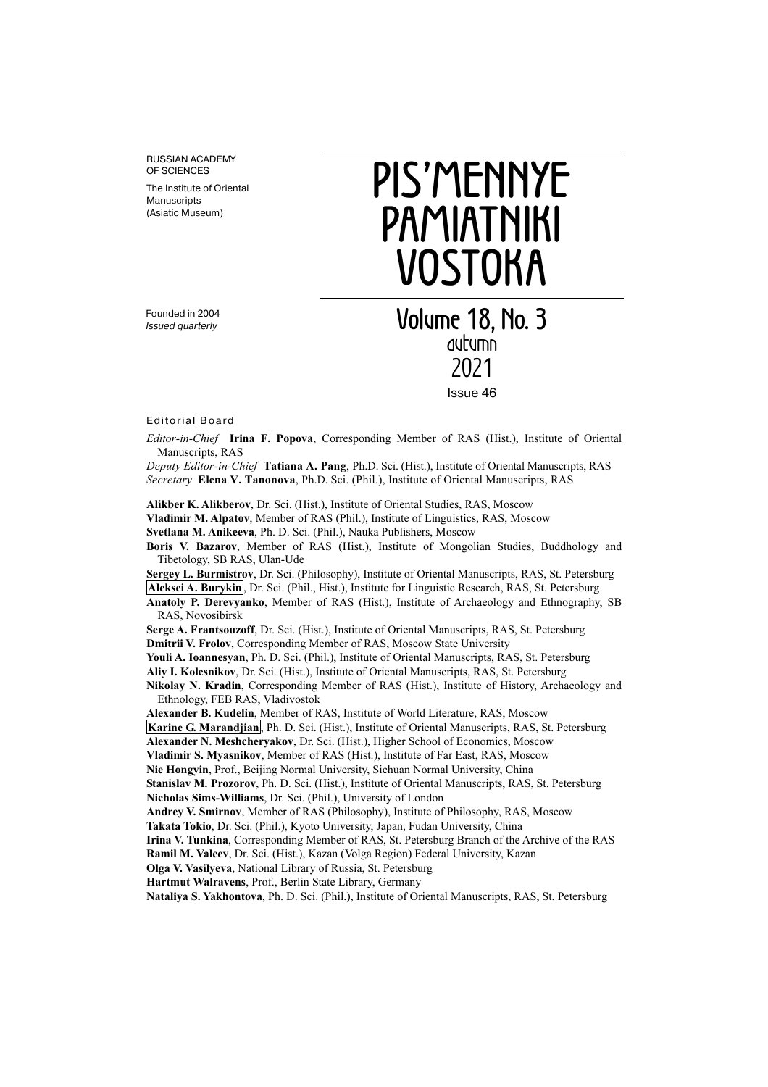RUSSIAN ACADEMY OF SCIENCES

The Institute of Oriental **Manuscripts** (Asiatic Museum)

# **PIS'MENNYE PAMIATNIKI VOSTOKA**

Founded in 2004 Issued quarterly

**Volume 18, No. 3**  autumn 2021 Issue 46

Editorial Board

Editor-in-Chief Irina F. Popova, Corresponding Member of RAS (Hist.), Institute of Oriental Manuscripts, RAS

Deputy Editor-in-Chief Tatiana A. Pang, Ph.D. Sci. (Hist.), Institute of Oriental Manuscripts, RAS Secretary Elena V. Tanonova, Ph.D. Sci. (Phil.), Institute of Oriental Manuscripts, RAS

Alikber K. Alikberov, Dr. Sci. (Hist.), Institute of Oriental Studies, RAS, Moscow

Vladimir M. Alpatov, Member of RAS (Phil.), Institute of Linguistics, RAS, Moscow

Svetlana M. Anikeeva, Ph. D. Sci. (Phil.), Nauka Publishers, Moscow

Boris V. Bazarov, Member of RAS (Hist.), Institute of Mongolian Studies, Buddhology and Tibetology, SB RAS, Ulan-Ude

Sergey L. Burmistrov, Dr. Sci. (Philosophy), Institute of Oriental Manuscripts, RAS, St. Petersburg Aleksei A. Burykin, Dr. Sci. (Phil., Hist.), Institute for Linguistic Research, RAS, St. Petersburg

Anatoly P. Derevyanko, Member of RAS (Hist.), Institute of Archaeology and Ethnography, SB RAS, Novosibirsk

Serge A. Frantsouzoff, Dr. Sci. (Hist.), Institute of Oriental Manuscripts, RAS, St. Petersburg Dmitrii V. Frolov, Corresponding Member of RAS, Moscow State University

Youli A. Ioannesyan, Ph. D. Sci. (Phil.), Institute of Oriental Manuscripts, RAS, St. Petersburg

Aliy I. Kolesnikov, Dr. Sci. (Hist.), Institute of Oriental Manuscripts, RAS, St. Petersburg

Nikolay N. Kradin, Corresponding Member of RAS (Hist.), Institute of History, Archaeology and Ethnology, FEB RAS, Vladivostok

Alexander B. Kudelin, Member of RAS, Institute of World Literature, RAS, Moscow

Karine G. Marandjian, Ph. D. Sci. (Hist.), Institute of Oriental Manuscripts, RAS, St. Petersburg

Alexander N. Meshcheryakov, Dr. Sci. (Hist.), Higher School of Economics, Moscow

Vladimir S. Myasnikov, Member of RAS (Hist.), Institute of Far East, RAS, Moscow

Nie Hongyin, Prof., Beijing Normal University, Sichuan Normal University, China

Stanislav M. Prozorov, Ph. D. Sci. (Hist.), Institute of Oriental Manuscripts, RAS, St. Petersburg Nicholas Sims-Williams, Dr. Sci. (Phil.), University of London

Andrey V. Smirnov, Member of RAS (Philosophy), Institute of Philosophy, RAS, Moscow

Takata Tokio, Dr. Sci. (Phil.), Kyoto University, Japan, Fudan University, China

Irina V. Tunkina, Corresponding Member of RAS, St. Petersburg Branch of the Archive of the RAS

Ramil M. Valeev, Dr. Sci. (Hist.), Kazan (Volga Region) Federal University, Kazan

Olga V. Vasilyeva, National Library of Russia, St. Petersburg

Hartmut Walravens, Prof., Berlin State Library, Germany

Nataliya S. Yakhontova, Ph. D. Sci. (Phil.), Institute of Oriental Manuscripts, RAS, St. Petersburg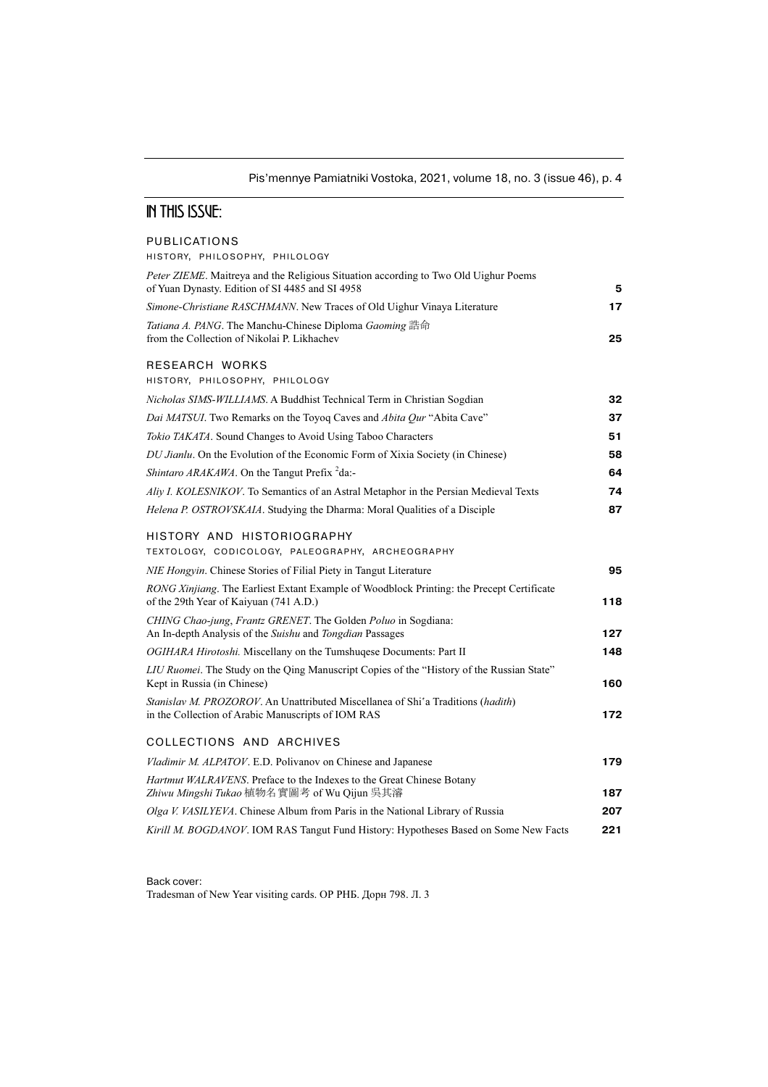## Pis'mennye Pamiatniki Vostoka, 2021, volume 18, no. 3 (issue 46), p. 4

## **IN THIS ISSUE:**

### PUBLICATIONS

HISTORY, PHILOSOPHY, PHILOLOGY

| Peter ZIEME. Maitreya and the Religious Situation according to Two Old Uighur Poems<br>of Yuan Dynasty. Edition of SI 4485 and SI 4958 | 5   |
|----------------------------------------------------------------------------------------------------------------------------------------|-----|
| Simone-Christiane RASCHMANN. New Traces of Old Uighur Vinaya Literature                                                                | 17  |
| Tatiana A. PANG. The Manchu-Chinese Diploma Gaoming 誥命<br>from the Collection of Nikolai P. Likhachev                                  | 25  |
| RESEARCH WORKS<br>HISTORY, PHILOSOPHY, PHILOLOGY                                                                                       |     |
| Nicholas SIMS-WILLIAMS. A Buddhist Technical Term in Christian Sogdian                                                                 | 32  |
| Dai MATSUI. Two Remarks on the Toyog Caves and Abita Qur "Abita Cave"                                                                  | 37  |
| Tokio TAKATA. Sound Changes to Avoid Using Taboo Characters                                                                            | 51  |
| DU Jianlu. On the Evolution of the Economic Form of Xixia Society (in Chinese)                                                         | 58  |
| Shintaro ARAKAWA. On the Tangut Prefix <sup>2</sup> da:-                                                                               | 64  |
| Aliy I. KOLESNIKOV. To Semantics of an Astral Metaphor in the Persian Medieval Texts                                                   | 74  |
| Helena P. OSTROVSKAIA. Studying the Dharma: Moral Qualities of a Disciple                                                              | 87  |
| HISTORY AND HISTORIOGRAPHY<br>TEXTOLOGY, CODICOLOGY, PALEOGRAPHY, ARCHEOGRAPHY                                                         |     |
| NIE Hongyin. Chinese Stories of Filial Piety in Tangut Literature                                                                      | 95  |
| RONG Xinjiang. The Earliest Extant Example of Woodblock Printing: the Precept Certificate<br>of the 29th Year of Kaiyuan (741 A.D.)    | 118 |
| CHING Chao-jung, Frantz GRENET. The Golden Poluo in Sogdiana:<br>An In-depth Analysis of the Suishu and Tongdian Passages              | 127 |
| OGIHARA Hirotoshi. Miscellany on the Tumshuqese Documents: Part II                                                                     | 148 |
| LIU Ruomei. The Study on the Qing Manuscript Copies of the "History of the Russian State"<br>Kept in Russia (in Chinese)               | 160 |
| Stanislav M. PROZOROV. An Unattributed Miscellanea of Shi'a Traditions (hadith)<br>in the Collection of Arabic Manuscripts of IOM RAS  | 172 |
| COLLECTIONS AND ARCHIVES                                                                                                               |     |
| Vladimir M. ALPATOV. E.D. Polivanov on Chinese and Japanese                                                                            | 179 |
| Hartmut WALRAVENS. Preface to the Indexes to the Great Chinese Botany<br>Zhiwu Mingshi Tukao 植物名實圖考 of Wu Qijun 吳其濬                    | 187 |
| Olga V. VASILYEVA. Chinese Album from Paris in the National Library of Russia                                                          | 207 |
| Kirill M. BOGDANOV. IOM RAS Tangut Fund History: Hypotheses Based on Some New Facts                                                    | 221 |
|                                                                                                                                        |     |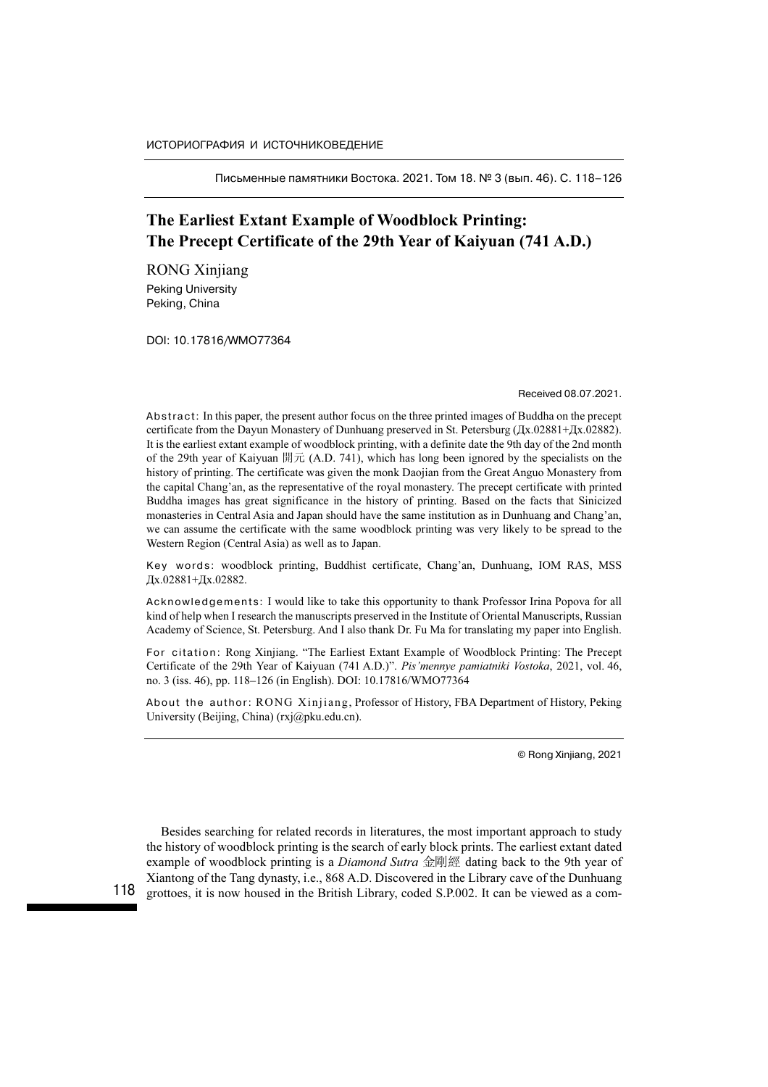Письменные памятники Востока. 2021. Том 18. № 3 (вып. 46). С. 118–126

# The Earliest Extant Example of Woodblock Printing: The Precept Certificate of the 29th Year of Kaiyuan (741 A.D.)

**Peking University** Peking, China

DOI: 10.17816/WMO77364

Received 08.07.2021.

Abstract: In this paper, the present author focus on the three printed images of Buddha on the precept certificate from the Dayun Monastery of Dunhuang preserved in St. Petersburg (Дх.02881+Дх.02882). It is the earliest extant example of woodblock printing, with a definite date the 9th day of the 2nd month of the 29th year of Kaiyuan 開元 (A.D. 741), which has long been ignored by the specialists on the history of printing. The certificate was given the monk Daojian from the Great Anguo Monastery from the capital Chang'an, as the representative of the royal monastery. The precept certificate with printed Buddha images has great significance in the history of printing. Based on the facts that Sinicized monasteries in Central Asia and Japan should have the same institution as in Dunhuang and Chang'an, we can assume the certificate with the same woodblock printing was very likely to be spread to the Western Region (Central Asia) as well as to Japan.

Key words: woodblock printing, Buddhist certificate, Chang'an, Dunhuang, IOM RAS, MSS Дх.02881+Дх.02882.

Acknowledgements: I would like to take this opportunity to thank Professor Irina Popova for all kind of help when I research the manuscripts preserved in the Institute of Oriental Manuscripts, Russian Academy of Science, St. Petersburg. And I also thank Dr. Fu Ma for translating my paper into English.

For citation: Rong Xinjiang. "The Earliest Extant Example of Woodblock Printing: The Precept Certificate of the 29th Year of Kaiyuan (741 A.D.)". Pis'mennye pamiatniki Vostoka, 2021, vol. 46, no. 3 (iss. 46), pp. 118–126 (in English). DOI: 10.17816/WMO77364

About the author: RONG Xinjiang, Professor of History, FBA Department of History, Peking University (Beijing, China) (rxj@pku.edu.cn).

© Rong Xinjiang, 2021

Besides searching for related records in literatures, the most important approach to study the history of woodblock printing is the search of early block prints. The earliest extant dated example of woodblock printing is a *Diamond Sutra* 金剛經 dating back to the 9th year of Xiantong of the Tang dynasty, i.e., 868 A.D. Discovered in the Library cave of the Dunhuang grottoes, it is now housed in the British Library, coded S.P.002. It can be viewed as a com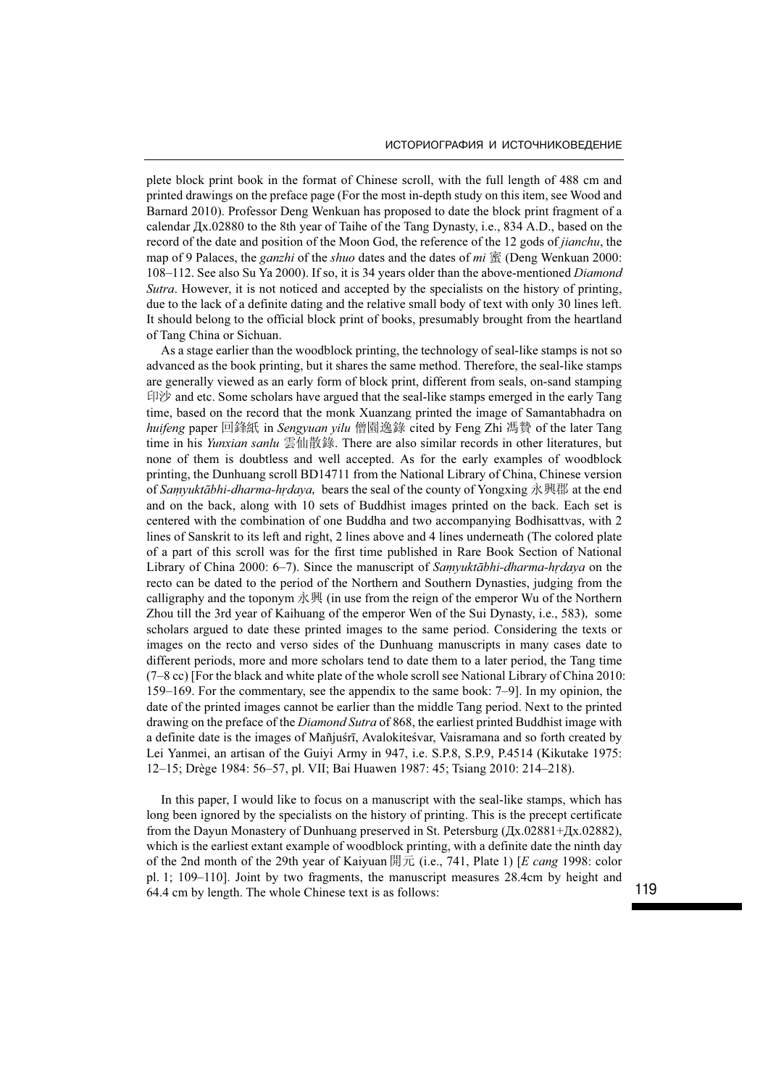plete block print book in the format of Chinese scroll, with the full length of 488 cm and printed drawings on the preface page (For the most in-depth study on this item, see Wood and Barnard 2010). Professor Deng Wenkuan has proposed to date the block print fragment of a calendar Дх.02880 to the 8th year of Taihe of the Tang Dynasty, i.e., 834 A.D., based on the record of the date and position of the Moon God, the reference of the 12 gods of *jianchu*, the map of 9 Palaces, the *ganzhi* of the *shuo* dates and the dates of mi  $\tilde{\mathbb{F}}$  (Deng Wenkuan 2000: 108–112. See also Su Ya 2000). If so, it is 34 years older than the above-mentioned Diamond Sutra. However, it is not noticed and accepted by the specialists on the history of printing, due to the lack of a definite dating and the relative small body of text with only 30 lines left. It should belong to the official block print of books, presumably brought from the heartland of Tang China or Sichuan.

As a stage earlier than the woodblock printing, the technology of seal-like stamps is not so advanced as the book printing, but it shares the same method. Therefore, the seal-like stamps are generally viewed as an early form of block print, different from seals, on-sand stamping 印沙 and etc. Some scholars have argued that the seal-like stamps emerged in the early Tang time, based on the record that the monk Xuanzang printed the image of Samantabhadra on huifeng paper 回鋒紙 in Sengyuan yilu 僧園逸錄 cited by Feng Zhi 馮贄 of the later Tang time in his *Yunxian sanlu* 雲仙散錄. There are also similar records in other literatures, but none of them is doubtless and well accepted. As for the early examples of woodblock printing, the Dunhuang scroll BD14711 from the National Library of China, Chinese version of Samyuktābhi-dharma-hrdaya, bears the seal of the county of Yongxing 永興郡 at the end and on the back, along with 10 sets of Buddhist images printed on the back. Each set is centered with the combination of one Buddha and two accompanying Bodhisattvas, with 2 lines of Sanskrit to its left and right, 2 lines above and 4 lines underneath (The colored plate of a part of this scroll was for the first time published in Rare Book Section of National Library of China 2000: 6–7). Since the manuscript of Samyuktābhi-dharma-hrdaya on the recto can be dated to the period of the Northern and Southern Dynasties, judging from the calligraphy and the toponym 永興 (in use from the reign of the emperor Wu of the Northern Zhou till the 3rd year of Kaihuang of the emperor Wen of the Sui Dynasty, i.e., 583), some scholars argued to date these printed images to the same period. Considering the texts or images on the recto and verso sides of the Dunhuang manuscripts in many cases date to different periods, more and more scholars tend to date them to a later period, the Tang time  $(7–8 \text{ cc})$  [For the black and white plate of the whole scroll see National Library of China 2010: 159–169. For the commentary, see the appendix to the same book: 7–9]. In my opinion, the date of the printed images cannot be earlier than the middle Tang period. Next to the printed drawing on the preface of the *Diamond Sutra* of 868, the earliest printed Buddhist image with a definite date is the images of Mañjuśrī, Avalokiteśvar, Vaisramana and so forth created by Lei Yanmei, an artisan of the Guiyi Army in 947, i.e. S.P.8, S.P.9, P.4514 (Kikutake 1975: 12–15; Drège 1984: 56–57, pl. VII; Bai Huawen 1987: 45; Tsiang 2010: 214–218).

In this paper, I would like to focus on a manuscript with the seal-like stamps, which has long been ignored by the specialists on the history of printing. This is the precept certificate from the Dayun Monastery of Dunhuang preserved in St. Petersburg (Дх.02881+Дх.02882), which is the earliest extant example of woodblock printing, with a definite date the ninth day of the 2nd month of the 29th year of Kaiyuan 開元 (i.e., 741, Plate 1) [E cang 1998: color pl. 1; 109–110]. Joint by two fragments, the manuscript measures 28.4cm by height and 64.4 cm by length. The whole Chinese text is as follows: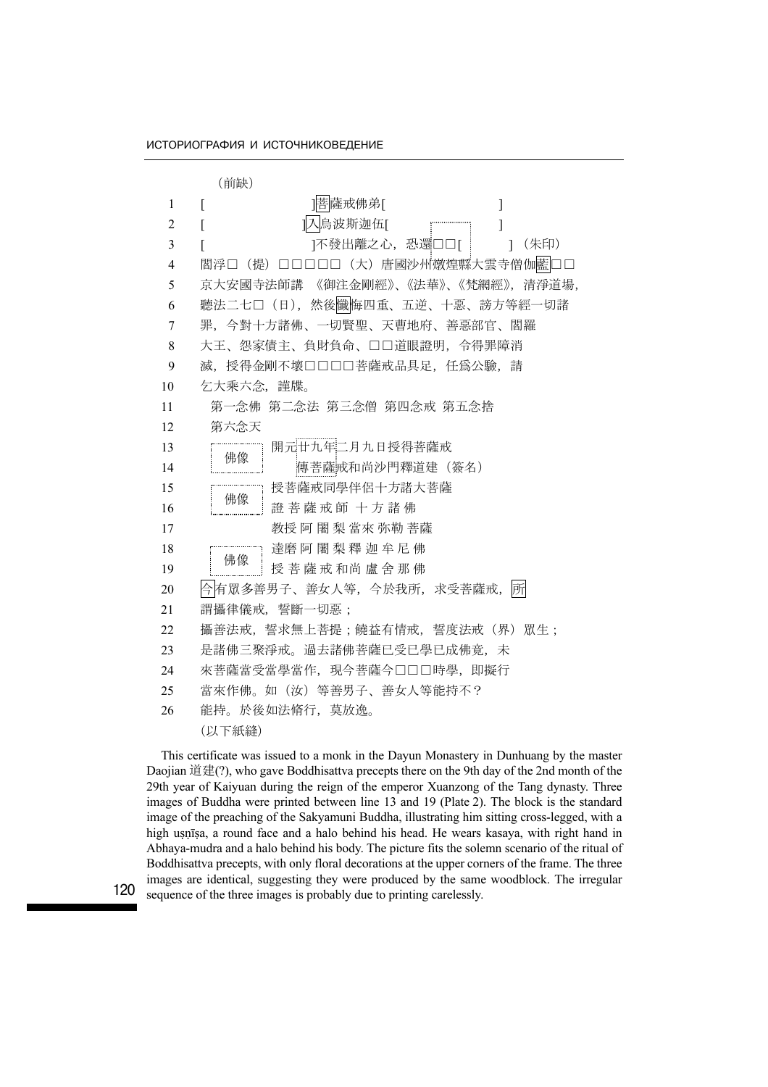(前缺) 1 [ ]菩薩戒佛弟[ ] 2 [ ]入鳥波斯迦伍[ ] 3 [ ] 1不發出離之心,恐還□□[ ] (朱印) 4 閻浮□(提)□□□□□□(大)唐國沙州燉煌縣大雲寺僧伽藍□□ 5 京大安國寺法師講 《御注金剛經》、《法華》、《梵網經》,清淨道場, 6 聽法二七□(日),然後懺悔四重、五逆、十惡、謗方等經一切諸 7 罪,今對十方諸佛、一切賢聖、天曹地府、善惡部官、閻羅 8 大王、怨家債主、負財負命、□□道眼證明,令得罪障消 9 滅,授得金剛不壞□□□□菩薩戒品具足,任爲公驗,請 10 乞大乘六念,謹牒。 11 第一念佛 第二念法 第三念僧 第四念戒 第五念捨 12 第六念天 13 [ 開元廿九年二月九日授得菩薩戒 14 | 『『『真菩薩戒和尚沙門釋道建(簽名) 15 『 ---------------- 授菩薩戒同學伴侶十方諸大菩薩 16 <sup>四 18</sup> 畫 菩 薩 戒 師 十 方 諸 佛 17 科授 阿 闍 梨 當來 弥勒 菩薩 18 達磨 阿 闍 梨 釋 迦 牟 尼 佛 19 <sup>严 。</sup> 其 爱 菩 薩 戒 和尚 盧 舍 那 佛 20 今有眾多善男子、善女人等,今於我所,求受菩薩戒, 所 21 謂攝律儀戒,誓斷一切惡; 22 攝善法戒,誓求無上菩提;饒益有情戒,誓度法戒(界)眾生; 23 是諸佛三聚淨戒。過去諸佛菩薩已受已學已成佛竟,未 24 來菩薩當受當學當作, 現今菩薩今□□□時學, 即擬行 25 當來作佛。如(汝)等善男子、善女人等能持不? 26 能持。於後如法脩行,莫放逸。 (以下紙縫) 佛像 佛像 佛像

This certificate was issued to a monk in the Dayun Monastery in Dunhuang by the master Daojian 道建(?), who gave Boddhisattva precepts there on the 9th day of the 2nd month of the 29th year of Kaiyuan during the reign of the emperor Xuanzong of the Tang dynasty. Three images of Buddha were printed between line 13 and 19 (Plate 2). The block is the standard image of the preaching of the Sakyamuni Buddha, illustrating him sitting cross-legged, with a high usnīsa, a round face and a halo behind his head. He wears kasaya, with right hand in Abhaya-mudra and a halo behind his body. The picture fits the solemn scenario of the ritual of Boddhisattva precepts, with only floral decorations at the upper corners of the frame. The three images are identical, suggesting they were produced by the same woodblock. The irregular sequence of the three images is probably due to printing carelessly.

120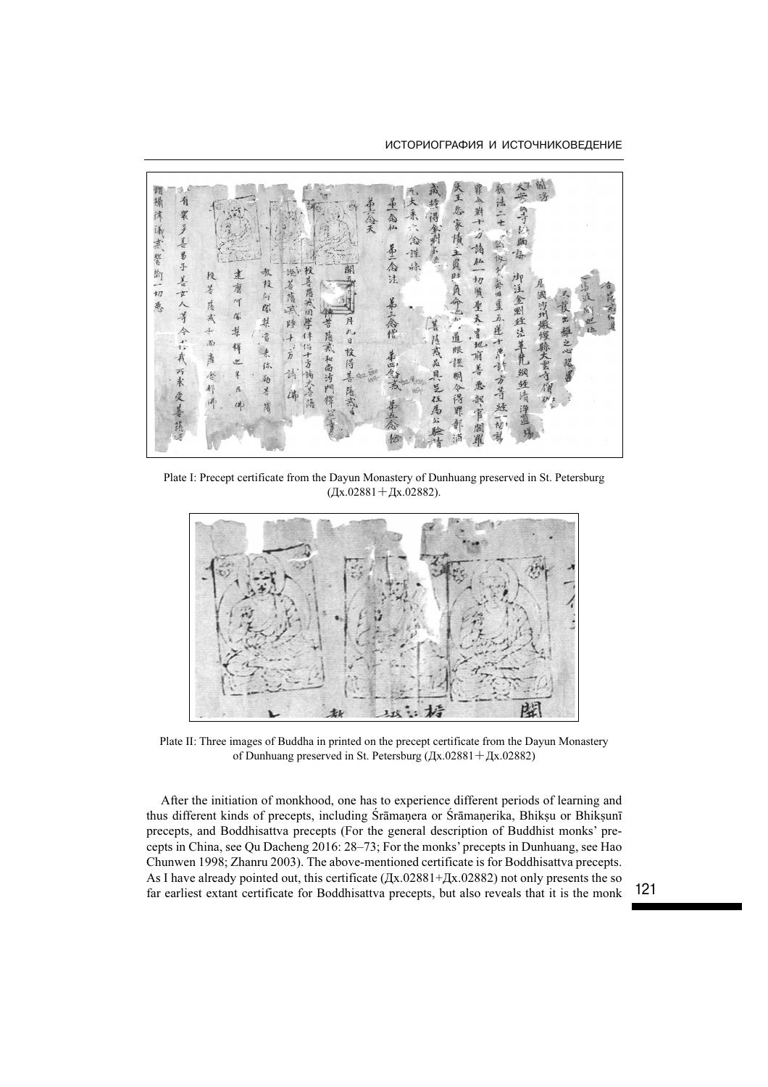

Plate I: Precept certificate from the Dayun Monastery of Dunhuang preserved in St. Petersburg  $(Lx.02881 + Lx.02882)$ .



Plate II: Three images of Buddha in printed on the precept certificate from the Dayun Monastery of Dunhuang preserved in St. Petersburg (Дх.02881+Дх.02882)

After the initiation of monkhood, one has to experience different periods of learning and thus different kinds of precepts, including Śrāmaṇera or Śrāmaṇerika, Bhikṣu or Bhikṣunī precepts, and Boddhisattva precepts (For the general description of Buddhist monks' precepts in China, see Qu Dacheng 2016: 28–73; For the monks' precepts in Dunhuang, see Hao Chunwen 1998; Zhanru 2003). The above-mentioned certificate is for Boddhisattva precepts. As I have already pointed out, this certificate (Дх.02881+Дх.02882) not only presents the so far earliest extant certificate for Boddhisattva precepts, but also reveals that it is the monk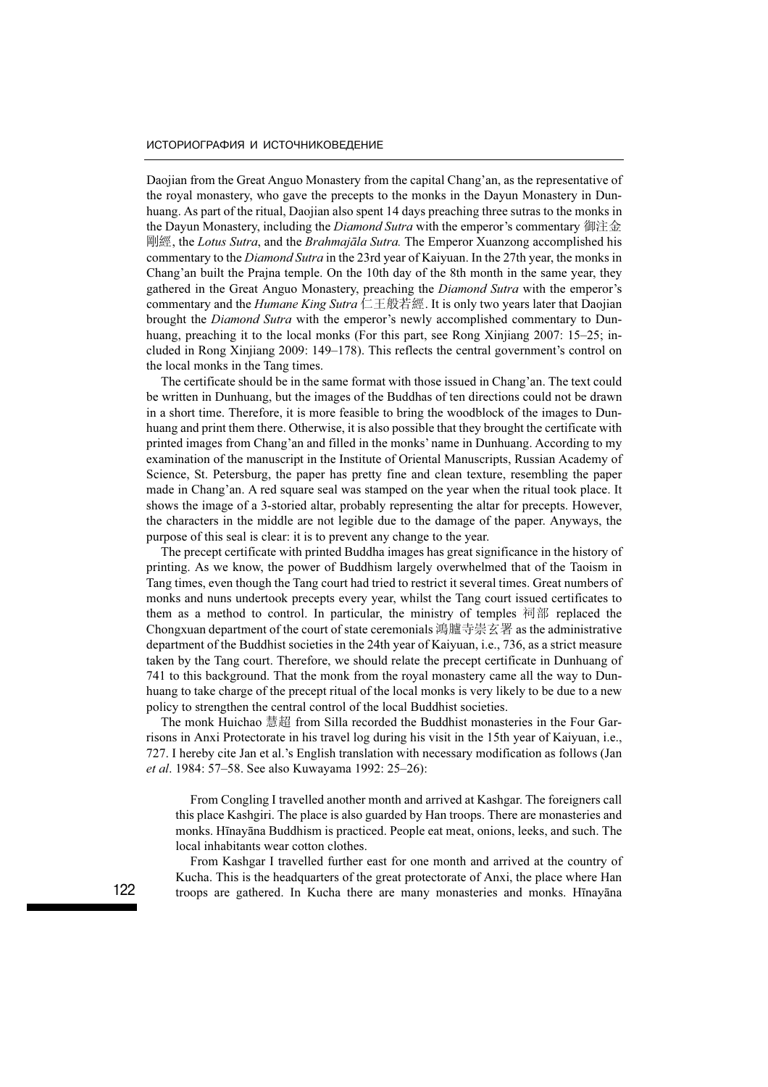Daojian from the Great Anguo Monastery from the capital Chang'an, as the representative of the royal monastery, who gave the precepts to the monks in the Dayun Monastery in Dunhuang. As part of the ritual, Daojian also spent 14 days preaching three sutras to the monks in the Dayun Monastery, including the *Diamond Sutra* with the emperor's commentary 御注金 剛經, the Lotus Sutra, and the Brahmajāla Sutra. The Emperor Xuanzong accomplished his commentary to the Diamond Sutra in the 23rd year of Kaiyuan. In the 27th year, the monks in Chang'an built the Prajna temple. On the 10th day of the 8th month in the same year, they gathered in the Great Anguo Monastery, preaching the Diamond Sutra with the emperor's commentary and the *Humane King Sutra* 仁王般若經. It is only two years later that Daojian brought the Diamond Sutra with the emperor's newly accomplished commentary to Dunhuang, preaching it to the local monks (For this part, see Rong Xinjiang 2007: 15–25; included in Rong Xinjiang 2009: 149–178). This reflects the central government's control on the local monks in the Tang times.

The certificate should be in the same format with those issued in Chang'an. The text could be written in Dunhuang, but the images of the Buddhas of ten directions could not be drawn in a short time. Therefore, it is more feasible to bring the woodblock of the images to Dunhuang and print them there. Otherwise, it is also possible that they brought the certificate with printed images from Chang'an and filled in the monks' name in Dunhuang. According to my examination of the manuscript in the Institute of Oriental Manuscripts, Russian Academy of Science, St. Petersburg, the paper has pretty fine and clean texture, resembling the paper made in Chang'an. A red square seal was stamped on the year when the ritual took place. It shows the image of a 3-storied altar, probably representing the altar for precepts. However, the characters in the middle are not legible due to the damage of the paper. Anyways, the purpose of this seal is clear: it is to prevent any change to the year.

The precept certificate with printed Buddha images has great significance in the history of printing. As we know, the power of Buddhism largely overwhelmed that of the Taoism in Tang times, even though the Tang court had tried to restrict it several times. Great numbers of monks and nuns undertook precepts every year, whilst the Tang court issued certificates to them as a method to control. In particular, the ministry of temples 祠部 replaced the Chongxuan department of the court of state ceremonials 鴻臚寺崇玄署 as the administrative department of the Buddhist societies in the 24th year of Kaiyuan, i.e., 736, as a strict measure taken by the Tang court. Therefore, we should relate the precept certificate in Dunhuang of 741 to this background. That the monk from the royal monastery came all the way to Dunhuang to take charge of the precept ritual of the local monks is very likely to be due to a new policy to strengthen the central control of the local Buddhist societies.

The monk Huichao 慧超 from Silla recorded the Buddhist monasteries in the Four Garrisons in Anxi Protectorate in his travel log during his visit in the 15th year of Kaiyuan, i.e., 727. I hereby cite Jan et al.'s English translation with necessary modification as follows (Jan et al. 1984: 57–58. See also Kuwayama 1992: 25–26):

From Congling I travelled another month and arrived at Kashgar. The foreigners call this place Kashgiri. The place is also guarded by Han troops. There are monasteries and monks. Hīnayāna Buddhism is practiced. People eat meat, onions, leeks, and such. The local inhabitants wear cotton clothes.

From Kashgar I travelled further east for one month and arrived at the country of Kucha. This is the headquarters of the great protectorate of Anxi, the place where Han troops are gathered. In Kucha there are many monasteries and monks. Hīnayāna

122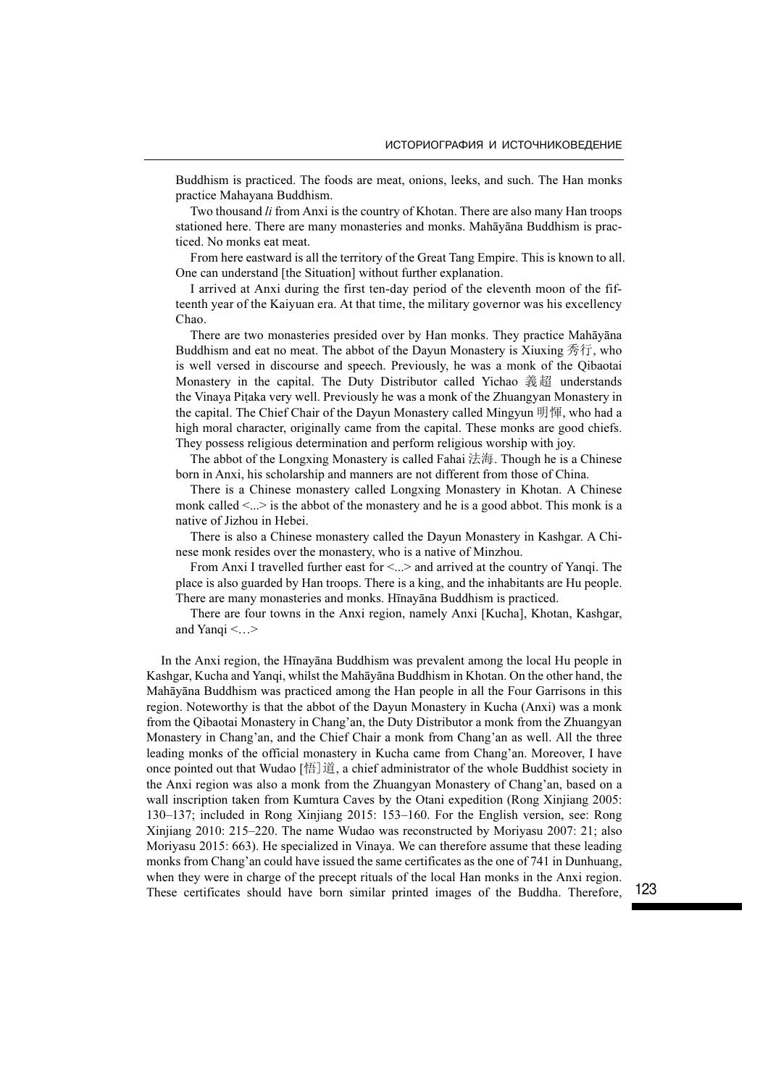Buddhism is practiced. The foods are meat, onions, leeks, and such. The Han monks practice Mahayana Buddhism.

Two thousand *li* from Anxi is the country of Khotan. There are also many Han troops stationed here. There are many monasteries and monks. Mahāyāna Buddhism is practiced. No monks eat meat.

From here eastward is all the territory of the Great Tang Empire. This is known to all. One can understand [the Situation] without further explanation.

I arrived at Anxi during the first ten-day period of the eleventh moon of the fifteenth year of the Kaiyuan era. At that time, the military governor was his excellency Chao.

There are two monasteries presided over by Han monks. They practice Mahāyāna Buddhism and eat no meat. The abbot of the Dayun Monastery is Xiuxing 秀行, who is well versed in discourse and speech. Previously, he was a monk of the Qibaotai Monastery in the capital. The Duty Distributor called Yichao 義超 understands the Vinaya Piṭaka very well. Previously he was a monk of the Zhuangyan Monastery in the capital. The Chief Chair of the Dayun Monastery called Mingyun 明惲, who had a high moral character, originally came from the capital. These monks are good chiefs. They possess religious determination and perform religious worship with joy.

The abbot of the Longxing Monastery is called Fahai 法海. Though he is a Chinese born in Anxi, his scholarship and manners are not different from those of China.

There is a Chinese monastery called Longxing Monastery in Khotan. A Chinese monk called  $\leq$ ... is the abbot of the monastery and he is a good abbot. This monk is a native of Jizhou in Hebei.

There is also a Chinese monastery called the Dayun Monastery in Kashgar. A Chinese monk resides over the monastery, who is a native of Minzhou.

From Anxi I travelled further east for <...> and arrived at the country of Yanqi. The place is also guarded by Han troops. There is a king, and the inhabitants are Hu people. There are many monasteries and monks. Hīnayāna Buddhism is practiced.

There are four towns in the Anxi region, namely Anxi [Kucha], Khotan, Kashgar, and Yanqi <…>

In the Anxi region, the Hīnayāna Buddhism was prevalent among the local Hu people in Kashgar, Kucha and Yanqi, whilst the Mahāyāna Buddhism in Khotan. On the other hand, the Mahāyāna Buddhism was practiced among the Han people in all the Four Garrisons in this region. Noteworthy is that the abbot of the Dayun Monastery in Kucha (Anxi) was a monk from the Qibaotai Monastery in Chang'an, the Duty Distributor a monk from the Zhuangyan Monastery in Chang'an, and the Chief Chair a monk from Chang'an as well. All the three leading monks of the official monastery in Kucha came from Chang'an. Moreover, I have once pointed out that Wudao  $[\frac{16}{3}]$ 道, a chief administrator of the whole Buddhist society in the Anxi region was also a monk from the Zhuangyan Monastery of Chang'an, based on a wall inscription taken from Kumtura Caves by the Otani expedition (Rong Xinjiang 2005: 130–137; included in Rong Xinjiang 2015: 153–160. For the English version, see: Rong Xinjiang 2010: 215–220. The name Wudao was reconstructed by Moriyasu 2007: 21; also Moriyasu 2015: 663). He specialized in Vinaya. We can therefore assume that these leading monks from Chang'an could have issued the same certificates as the one of 741 in Dunhuang, when they were in charge of the precept rituals of the local Han monks in the Anxi region. These certificates should have born similar printed images of the Buddha. Therefore,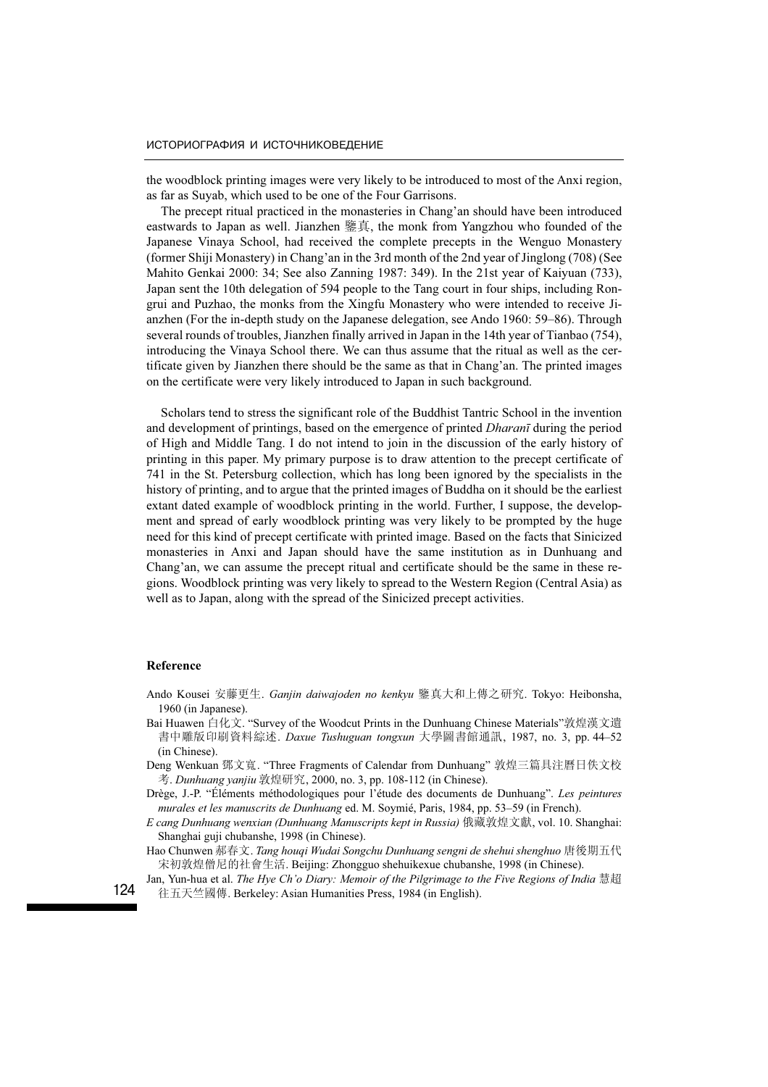the woodblock printing images were very likely to be introduced to most of the Anxi region, as far as Suyab, which used to be one of the Four Garrisons.

The precept ritual practiced in the monasteries in Chang'an should have been introduced eastwards to Japan as well. Jianzhen 鑒真, the monk from Yangzhou who founded of the Japanese Vinaya School, had received the complete precepts in the Wenguo Monastery (former Shiji Monastery) in Chang'an in the 3rd month of the 2nd year of Jinglong (708) (See Mahito Genkai 2000: 34; See also Zanning 1987: 349). In the 21st year of Kaiyuan (733), Japan sent the 10th delegation of 594 people to the Tang court in four ships, including Rongrui and Puzhao, the monks from the Xingfu Monastery who were intended to receive Jianzhen (For the in-depth study on the Japanese delegation, see Ando 1960: 59–86). Through several rounds of troubles, Jianzhen finally arrived in Japan in the 14th year of Tianbao (754), introducing the Vinaya School there. We can thus assume that the ritual as well as the certificate given by Jianzhen there should be the same as that in Chang'an. The printed images on the certificate were very likely introduced to Japan in such background.

Scholars tend to stress the significant role of the Buddhist Tantric School in the invention and development of printings, based on the emergence of printed Dharanī during the period of High and Middle Tang. I do not intend to join in the discussion of the early history of printing in this paper. My primary purpose is to draw attention to the precept certificate of 741 in the St. Petersburg collection, which has long been ignored by the specialists in the history of printing, and to argue that the printed images of Buddha on it should be the earliest extant dated example of woodblock printing in the world. Further, I suppose, the development and spread of early woodblock printing was very likely to be prompted by the huge need for this kind of precept certificate with printed image. Based on the facts that Sinicized monasteries in Anxi and Japan should have the same institution as in Dunhuang and Chang'an, we can assume the precept ritual and certificate should be the same in these regions. Woodblock printing was very likely to spread to the Western Region (Central Asia) as well as to Japan, along with the spread of the Sinicized precept activities.

#### Reference

- Ando Kousei 安藤更生. Ganjin daiwajoden no kenkyu 鑒真大和上傳之研究. Tokyo: Heibonsha, 1960 (in Japanese).
- Bai Huawen 白化文. "Survey of the Woodcut Prints in the Dunhuang Chinese Materials"敦煌漢文遺 書中雕版印刷資料綜述. *Daxue Tushuguan tongxun* 大學圖書館通訊, 1987, no. 3, pp. 44–52 (in Chinese).
- Deng Wenkuan 鄧文寬. "Three Fragments of Calendar from Dunhuang" 敦煌三篇具注曆日佚文校 考. Dunhuang yanjiu 敦煌研究, 2000, no. 3, pp. 108-112 (in Chinese).

Drège, J.-P. "Éléments méthodologiques pour l'étude des documents de Dunhuang". Les peintures murales et les manuscrits de Dunhuang ed. M. Soymié, Paris, 1984, pp. 53–59 (in French).

- E cang Dunhuang wenxian (Dunhuang Manuscripts kept in Russia) 俄藏敦煌文獻, vol. 10. Shanghai: Shanghai guji chubanshe, 1998 (in Chinese).
- Hao Chunwen 郝春文. Tang houqi Wudai Songchu Dunhuang sengni de shehui shenghuo 唐後期五代 宋初敦煌僧尼的社會生活. Beijing: Zhongguo shehuikexue chubanshe, 1998 (in Chinese).
- Jan, Yun-hua et al. The Hye Ch'o Diary: Memoir of the Pilgrimage to the Five Regions of India 慧超 往五天竺國傳. Berkeley: Asian Humanities Press, 1984 (in English).

124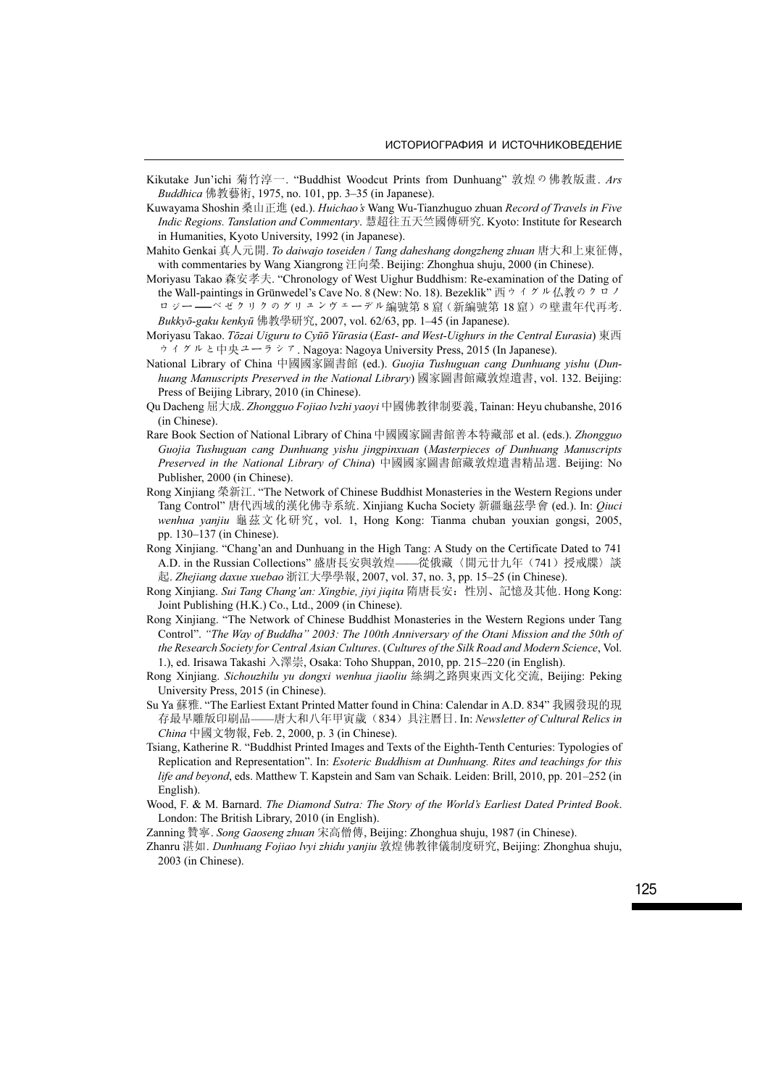- Kikutake Jun'ichi 菊竹淳一. "Buddhist Woodcut Prints from Dunhuang" 敦煌の佛教版畫. Ars Buddhica 佛教藝術, 1975, no. 101, pp. 3–35 (in Japanese).
- Kuwayama Shoshin 桑山正進 (ed.). Huichao's Wang Wu-Tianzhuguo zhuan Record of Travels in Five Indic Regions. Tanslation and Commentary. 慧超往五天竺國傳研究. Kyoto: Institute for Research in Humanities, Kyoto University, 1992 (in Japanese).
- Mahito Genkai 真人元開. To daiwajo toseiden / Tang daheshang dongzheng zhuan 唐大和上東征傳, with commentaries by Wang Xiangrong 汪向榮. Beijing: Zhonghua shuju, 2000 (in Chinese).
- Moriyasu Takao 森安孝夫. "Chronology of West Uighur Buddhism: Re-examination of the Dating of the Wall-paintings in Grünwedel's Cave No. 8 (New: No. 18). Bezeklik" 西ウイグル仏教のクロノ .<br>ロジー ——ベゼクリクのグリュンヴェーデル編號第8窟 (新編號第18窟) の壁畫年代再考. Bukkyō-gaku kenkyū 佛教學研究, 2007, vol. 62/63, pp. 1–45 (in Japanese).

Moriyasu Takao. Tōzai Uiguru to Cyūō Yūrasia (East- and West-Uighurs in the Central Eurasia) 東西 ウイグルと中央ユーラシア. Nagoya: Nagoya University Press, 2015 (In Japanese).

- National Library of China 中國國家圖書館 (ed.). Guojia Tushuguan cang Dunhuang yishu (Dunhuang Manuscripts Preserved in the National Library) 國家圖書館藏敦煌遺書, vol. 132. Beijing: Press of Beijing Library, 2010 (in Chinese).
- Qu Dacheng 屈大成. Zhongguo Fojiao lvzhi yaoyi 中國佛教律制要義, Tainan: Heyu chubanshe, 2016 (in Chinese).
- Rare Book Section of National Library of China 中國國家圖書館善本特藏部 et al. (eds.). Zhongguo Guojia Tushuguan cang Dunhuang yishu jingpinxuan (Masterpieces of Dunhuang Manuscripts Preserved in the National Library of China) 中國國家圖書館藏敦煌遺書精品選. Beijing: No Publisher, 2000 (in Chinese).
- Rong Xinjiang 榮新江. "The Network of Chinese Buddhist Monasteries in the Western Regions under Tang Control" 唐代西域的漢化佛寺系統. Xinjiang Kucha Society 新疆龜茲學會 (ed.). In: Qiuci wenhua yanjiu 龜茲文化研究, vol. 1, Hong Kong: Tianma chuban youxian gongsi, 2005, pp. 130–137 (in Chinese).
- Rong Xinjiang. "Chang'an and Dunhuang in the High Tang: A Study on the Certificate Dated to 741 A.D. in the Russian Collections" 盛唐長安與敦煌——從俄藏〈開元廿九年(741)授戒牒〉談 起. Zhejiang daxue xuebao 浙江大學學報, 2007, vol. 37, no. 3, pp. 15–25 (in Chinese).
- Rong Xinjiang. Sui Tang Chang'an: Xingbie, jiyi jiqita 隋唐長安:性別、記憶及其他. Hong Kong: Joint Publishing (H.K.) Co., Ltd., 2009 (in Chinese).
- Rong Xinjiang. "The Network of Chinese Buddhist Monasteries in the Western Regions under Tang Control". "The Way of Buddha" 2003: The 100th Anniversary of the Otani Mission and the 50th of the Research Society for Central Asian Cultures. (Cultures of the Silk Road and Modern Science, Vol. 1.), ed. Irisawa Takashi 入澤崇, Osaka: Toho Shuppan, 2010, pp. 215–220 (in English).
- Rong Xinjiang. Sichouzhilu yu dongxi wenhua jiaoliu 絲綢之路與東西文化交流, Beijing: Peking University Press, 2015 (in Chinese).
- Su Ya 蘇雅. "The Earliest Extant Printed Matter found in China: Calendar in A.D. 834" 我國發現的現 存最早雕版印刷品——唐大和八年甲寅歲(834)具注曆日. In: Newsletter of Cultural Relics in China 中國文物報, Feb. 2, 2000, p. 3 (in Chinese).
- Tsiang, Katherine R. "Buddhist Printed Images and Texts of the Eighth-Tenth Centuries: Typologies of Replication and Representation". In: Esoteric Buddhism at Dunhuang. Rites and teachings for this life and beyond, eds. Matthew T. Kapstein and Sam van Schaik. Leiden: Brill, 2010, pp. 201–252 (in English).
- Wood, F. & M. Barnard. The Diamond Sutra: The Story of the World's Earliest Dated Printed Book. London: The British Library, 2010 (in English).
- Zanning 贊寧. Song Gaoseng zhuan 宋高僧傳, Beijing: Zhonghua shuju, 1987 (in Chinese).
- Zhanru 湛如. Dunhuang Fojiao lvyi zhidu yanjiu 敦煌佛教律儀制度研究, Beijing: Zhonghua shuju, 2003 (in Chinese).